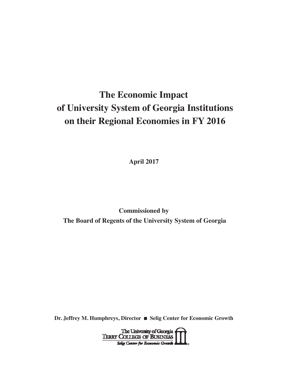# **The Economic Impact of University System of Georgia Institutions on their Regional Economies in FY 2016**

**April 2017**

**Commissioned by The Board of Regents of the University System of Georgia**

**Dr. Jeffrey M. Humphreys, Director** n **Selig Center for Economic Growth**

The University of Georgia<br>TERRY COLLEGE OF BUSINESS **®**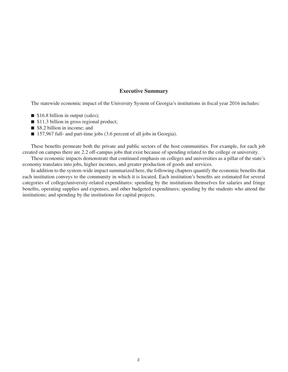#### **Executive Summary**

The statewide economic impact of the University System of Georgia's institutions in fiscal year 2016 includes:

- $\blacksquare$  \$16.8 billion in output (sales);
- $\blacksquare$  \$11.3 billion in gross regional product;
- \$8.2 billion in income; and
- 157,967 full- and part-time jobs (3.6 percent of all jobs in Georgia).

These benefits permeate both the private and public sectors of the host communities. For example, for each job created on campus there are 2.2 off-campus jobs that exist because of spending related to the college or university.

These economic impacts demonstrate that continued emphasis on colleges and universities as a pillar of the state's economy translates into jobs, higher incomes, and greater production of goods and services.

In addition to the system-wide impact summarized here, the following chapters quantify the economic benefits that each institution conveys to the community in which it is located. Each institution's benefits are estimated for several categories of college/university-related expenditures: spending by the institutions themselves for salaries and fringe benefits, operating supplies and expenses, and other budgeted expenditures; spending by the students who attend the institutions; and spending by the institutions for capital projects.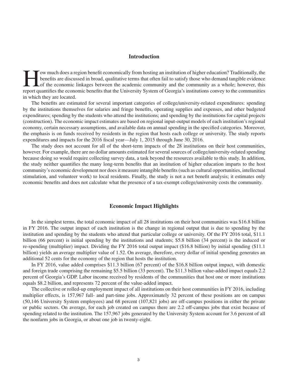#### **Introduction**

Fow much does a region benefit economically from hosting an institution of higher education? Traditionally, the benefits are discussed in broad, qualitative terms that often fail to satisfy those who demand tangible eviden benefits are discussed in broad, qualitative terms that often fail to satisfy those who demand tangible evidence report quantifies the economic benefits that the University System of Georgia's institutions convey to the communities in which they are located.

The benefits are estimated for several important categories of college/university-related expenditures: spending by the institutions themselves for salaries and fringe benefits, operating supplies and expenses, and other budgeted expenditures; spending by the students who attend the institutions; and spending by the institutions for capital projects (construction). The economic impact estimates are based on regional input-output models of each institution's regional economy, certain necessary assumptions, and available data on annual spending in the specified categories. Moreover, the emphasis is on funds received by residents in the region that hosts each college or university. The study reports expenditures and impacts for the 2016 fiscal year—July 1, 2015 through June 30, 2016.

The study does not account for all of the short-term impacts of the 28 institutions on their host communities, however. For example, there are no dollar amounts estimated for several sources of college/university-related spending because doing so would require collecting survey data, a task beyond the resources available to this study. In addition, the study neither quantifies the many long-term benefits that an institution of higher education imparts to the host community's economic development nor does it measure intangible benefits (such as cultural opportunities, intellectual stimulation, and volunteer work) to local residents. Finally, the study is not a net benefit analysis; it estimates only economic benefits and does not calculate what the presence of a tax-exempt college/university costs the community.

#### **Economic Impact Highlights**

In the simplest terms, the total economic impact of all 28 institutions on their host communities was \$16.8 billion in FY 2016. The output impact of each institution is the change in regional output that is due to spending by the institution and spending by the students who attend that particular college or university. Of the FY 2016 total, \$11.1 billion (66 percent) is initial spending by the institutions and students; \$5.8 billion (34 percent) is the induced or re-spending (multiplier) impact. Dividing the FY 2016 total output impact (\$16.8 billion) by initial spending (\$11.1 billion) yields an average multiplier value of 1.52. On average, therefore, every dollar of initial spending generates an additional 52 cents for the economy of the region that hosts the institution.

In FY 2016, value added comprises \$11.3 billion (67 percent) of the \$16.8 billion output impact, with domestic and foreign trade comprising the remaining \$5.5 billion (33 percent). The \$11.3 billion value-added impact equals 2.2 percent of Georgia's GDP. Labor income received by residents of the communities that host one or more institutions equals \$8.2 billion, and represents 72 percent of the value-added impact.

The collective or rolled-up employment impact of all institutions on their host communities in FY 2016, including multiplier effects, is 157,967 full- and part-time jobs. Approximately 32 percent of these positions are on campus (50,146 University System employees) and 68 percent (107,821 jobs) are off-campus positions in either the private or public sectors. On average, for each job created on campus there are 2.2 off-campus jobs that exist because of spending related to the institution. The 157,967 jobs generated by the University System account for 3.6 percent of all the nonfarm jobs in Georgia, or about one job in twenty-eight.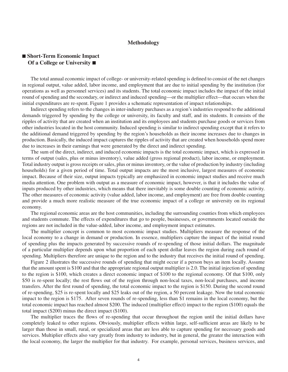#### **Methodology**

## ■ Short-Term Economic Impact **Of a College or University** ■

The total annual economic impact of college- or university-related spending is defined to consist of the net changes in regional output, value added, labor income, and employment that are due to initial spending by the institution (for operations as well as personnel services) and its students. The total economic impact includes the impact of the initial round of spending and the secondary, or indirect and induced spending—or the multiplier effect—that occurs when the initial expenditures are re-spent. Figure 1 provides a schematic representation of impact relationships.

Indirect spending refers to the changes in inter-industry purchases as a region's industries respond to the additional demands triggered by spending by the college or university, its faculty and staff, and its students. It consists of the ripples of activity that are created when an institution and its employees and students purchase goods or services from other industries located in the host community. Induced spending is similar to indirect spending except that it refers to the additional demand triggered by spending by the region's households as their income increases due to changes in production. Basically, the induced impact captures the ripples of activity that are created when households spend more due to increases in their earnings that were generated by the direct and indirect spending.

The sum of the direct, indirect, and induced economic impacts is the total economic impact, which is expressed in terms of output (sales, plus or minus inventory), value added (gross regional product), labor income, or employment. Total industry output is gross receipts or sales, plus or minus inventory, or the value of production by industry (including households) for a given period of time. Total output impacts are the most inclusive, largest measures of economic impact. Because of their size, output impacts typically are emphasized in economic impact studies and receive much media attention. One problem with output as a measure of economic impact, however, is that it includes the value of inputs produced by other industries, which means that there inevitably is some double counting of economic activity. The other measures of economic activity (value added, labor income, and employment) are free from double counting and provide a much more realistic measure of the true economic impact of a college or university on its regional economy.

The regional economic areas are the host communities, including the surrounding counties from which employees and students commute. The effects of expenditures that go to people, businesses, or governments located outside the regions are not included in the value-added, labor income, and employment impact estimates.

The multiplier concept is common to most economic impact studies. Multipliers measure the response of the local economy to a change in demand or production. In essence, multipliers capture the impact of the initial round of spending plus the impacts generated by successive rounds of re-spending of those initial dollars. The magnitude of a particular multiplier depends upon what proportion of each spent dollar leaves the region during each round of spending. Multipliers therefore are unique to the region and to the industry that receives the initial round of spending.

Figure 2 illustrates the successive rounds of spending that might occur if a person buys an item locally. Assume that the amount spent is \$100 and that the appropriate regional output multiplier is 2.0. The initial injection of spending to the region is \$100, which creates a direct economic impact of \$100 to the regional economy. Of that \$100, only \$50 is re-spent locally; the rest flows out of the region through non-local taxes, non-local purchases, and income transfers. After the first round of spending, the total economic impact to the region is \$150. During the second round of re-spending, \$25 is re-spent locally and \$25 leaks out of the region, a 50 percent leakage. Now the total economic impact to the region is \$175. After seven rounds of re-spending, less than \$1 remains in the local economy, but the total economic impact has reached almost \$200. The induced (multiplier effect) impact to the region (\$100) equals the total impact (\$200) minus the direct impact (\$100).

The multiplier traces the flows of re-spending that occur throughout the region until the initial dollars have completely leaked to other regions. Obviously, multiplier effects within large, self-sufficient areas are likely to be larger than those in small, rural, or specialized areas that are less able to capture spending for necessary goods and services. Multiplier effects also vary greatly from industry to industry, but in general, the greater the interaction with the local economy, the larger the multiplier for that industry. For example, personal services, business services, and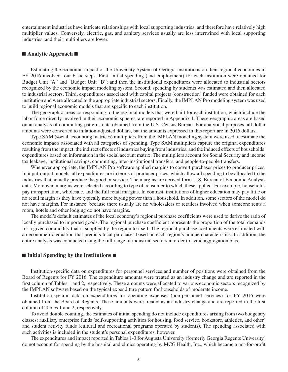entertainment industries have intricate relationships with local supporting industries, and therefore have relatively high multiplier values. Conversely, electric, gas, and sanitary services usually are less intertwined with local supporting industries, and their multipliers are lower.

#### ■ Analytic Approach ■

Estimating the economic impact of the University System of Georgia institutions on their regional economies in FY 2016 involved four basic steps. First, initial spending (and employment) for each institution were obtained for Budget Unit "A" and "Budget Unit "B"; and then the institutional expenditures were allocated to industrial sectors recognized by the economic impact modeling system. Second, spending by students was estimated and then allocated to industrial sectors. Third, expenditures associated with capital projects (construction) funded were obtained for each institution and were allocated to the appropriate industrial sectors. Finally, the IMPLAN Pro modeling system was used to build regional economic models that are specific to each institution.

The geographic areas corresponding to the regional models that were built for each institution, which include the labor force directly involved in their economic spheres, are reported in Appendix 1. These geographic areas are based on an analysis of commuting patterns data obtained from the U.S. Census Bureau. For analytical purposes, all dollar amounts were converted to inflation-adjusted dollars, but the amounts expressed in this report are in 2016 dollars.

Type SAM (social accounting matrices) multipliers from the IMPLAN modeling system were used to estimate the economic impacts associated with all categories of spending. Type SAM multipliers capture the original expenditures resulting from the impact, the indirect effects of industries buying from industries, and the induced effects of households' expenditures based on information in the social account matrix. The multipliers account for Social Security and income tax leakage, institutional savings, commuting, inter-institutional transfers, and people-to-people transfers.

Whenever appropriate, the IMPLAN Pro software applied margins to convert purchaser prices to producer prices. In input-output models, all expenditures are in terms of producer prices, which allow all spending to be allocated to the industries that actually produce the good or service. The margins are derived form U.S. Bureau of Economic Analysis data. Moreover, margins were selected according to type of consumer to which these applied. For example, households pay transportation, wholesale, and the full retail margins. In contrast, institutions of higher education may pay little or no retail margin as they have typically more buying power than a household. In addition, some sectors of the model do not have margins. For instance, because there usually are no wholesalers or retailers involved when someone rents a room, hotels and other lodging do not have margins.

The model's default estimates of the local economy's regional purchase coefficients were used to derive the ratio of locally purchased to imported goods. The regional purchase coefficient represents the proportion of the total demands for a given commodity that is supplied by the region to itself. The regional purchase coefficients were estimated with an econometric equation that predicts local purchases based on each region's unique characteristics. In addition, the entire analysis was conducted using the full range of industrial sectors in order to avoid aggregation bias.

#### ■ Initial Spending by the Institutions ■

Institution-specific data on expenditures for personnel services and number of positions were obtained from the Board of Regents for FY 2016. The expenditure amounts were treated as an industry change and are reported in the first column of Tables 1 and 2, respectively. These amounts were allocated to various economic sectors recognized by the IMPLAN software based on the typical expenditure pattern for households of moderate income.

Institution-specific data on expenditures for operating expenses (non-personnel services) for FY 2016 were obtained from the Board of Regents. These amounts were treated as an industry change and are reported in the first column of Tables 1 and 2, respectively.

To avoid double counting, the estimates of initial spending do not include expenditures arising from two budgetary classes: auxiliary enterprise funds (self-supporting activities for housing, food service, bookstore, athletics, and other) and student activity funds (cultural and recreational programs operated by students). The spending associated with such activities is included in the student's personal expenditures, however.

The expenditures and impact reported in Tables 1-3 for Augusta University (formerly Georgia Regents University) do not account for spending by the hospital and clinics operating by MCG Health, Inc., which became a not-for-profit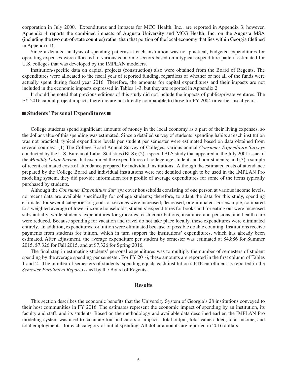corporation in July 2000. Expenditures and impacts for MCG Health, Inc., are reported in Appendix 3, however. Appendix 4 reports the combined impacts of Augusta University and MCG Health, Inc. on the Augusta MSA (including the two out-of-state counties) rather than that portion of the local economy that lies within Georgia (defined in Appendix 1).

Since a detailed analysis of spending patterns at each institution was not practical, budgeted expenditures for operating expenses were allocated to various economic sectors based on a typical expenditure pattern estimated for U.S. colleges that was developed by the IMPLAN modelers.

Institution-specific data on capital projects (construction) also were obtained from the Board of Regents. The expenditures were allocated to the fiscal year of reported funding, regardless of whether or not all of the funds were actually spent during fiscal year 2016. Therefore, the amounts for capital expenditures and their impacts are not included in the economic impacts expressed in Tables 1-3, but they are reported in Appendix 2.

It should be noted that previous editions of this study did not include the impacts of public/private ventures. The FY 2016 capital project impacts therefore are not directly comparable to those for FY 2004 or earlier fiscal years.

#### ■ Students' Personal Expenditures ■

College students spend significant amounts of money in the local economy as a part of their living expenses, so the dollar value of this spending was estimated. Since a detailed survey of students' spending habits at each institution was not practical, typical expenditure levels per student per semester were estimated based on data obtained from several sources: (1) The College Board Annual Survey of Colleges, various annual *Consumer Expenditure Surveys* conducted by the U.S. Bureau of Labor Statistics (BLS); (2) a special BLS study that appeared in the July 2001 issue of the *Monthly Labor Review* that examined the expenditures of college-age students and non-students; and (3) a sample of recent estimated costs of attendance prepared by individual institutions. Although the estimated costs of attendance prepared by the College Board and individual institutions were not detailed enough to be used in the IMPLAN Pro modeling system, they did provide information for a profile of average expenditures for some of the items typically purchased by students.

Although the *Consumer Expenditure Surveys* cover households consisting of one person at various income levels, no recent data are available specifically for college students; therefore, to adapt the data for this study, spending estimates for several categories of goods or services were increased, decreased, or eliminated. For example, compared to a weighted average of lower-income households, students' expenditures for books and for eating out were increased substantially, while students' expenditures for groceries, cash contributions, insurance and pensions, and health care were reduced. Because spending for vacation and travel do not take place locally, these expenditures were eliminated entirely. In addition, expenditures for tuition were eliminated because of possible double counting. Institutions receive payments from students for tuition, which in turn support the institutions' expenditures, which has already been estimated. After adjustment, the average expenditure per student by semester was estimated at \$4,886 for Summer 2015, \$7,326 for Fall 2015, and at \$7,326 for Spring 2016.

The final step in estimating students' personal expenditures was to multiply the number of semesters of student spending by the average spending per semester. For FY 2016, these amounts are reported in the first column of Tables 1 and 2. The number of semesters of students' spending equals each institution's FTE enrollment as reported in the *Semester Enrollment Report* issued by the Board of Regents.

#### **Results**

This section describes the economic benefits that the University System of Georgia's 28 institutions conveyed to their host communities in FY 2016. The estimates represent the economic impact of spending by an institution, its faculty and staff, and its students. Based on the methodology and available data described earlier, the IMPLAN Pro modeling system was used to calculate four indicators of impact—total output, total value-added, total income, and total employment—for each category of initial spending. All dollar amounts are reported in 2016 dollars.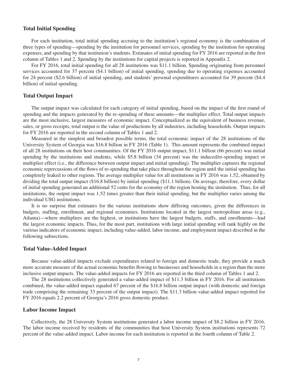#### **Total Initial Spending**

For each institution, total initial spending accruing to the institution's regional economy is the combination of three types of spending—spending by the institution for personnel services, spending by the institution for operating expenses, and spending by that institution's students. Estimates of initial spending for FY 2016 are reported in the first column of Tables 1 and 2. Spending by the institutions for capital projects is reported in Appendix 2.

For FY 2016, total initial spending for all 28 institutions was \$11.1 billion. Spending originating from personnel services accounted for 37 percent (\$4.1 billion) of initial spending, spending due to operating expenses accounted for 24 percent (\$2.6 billion) of initial spending, and students' personal expenditures accounted for 39 percent (\$4.4 billion) of initial spending.

#### **Total Output Impact**

The output impact was calculated for each category of initial spending, based on the impact of the first round of spending and the impacts generated by the re-spending of these amounts—the multiplier effect. Total output impacts are the most inclusive, largest measures of economic impact. Conceptualized as the equivalent of business revenue, sales, or gross receipts, total output is the value of productions by all industries, including households. Output impacts for FY 2016 are reported in the second column of Tables 1 and 2.

Measured in the simplest and broadest possible terms, the total economic impact of the 28 institutions of the University System of Georgia was \$16.8 billion in FY 2016 (Table 1). This amount represents the combined impact of all 28 institutions on their host communities. Of the FY 2016 output impact, \$11.1 billion (66 percent) was initial spending by the institutions and students, while \$5.8 billion (34 percent) was the induced/re-spending impact or multiplier effect (i.e., the difference between output impact and initial spending). The multiplier captures the regional economic repercussions of the flows of re-spending that take place throughout the region until the initial spending has completely leaked to other regions. The average multiplier value for all institutions in FY 2016 was 1.52, obtained by dividing the total output impact (\$16.8 billion) by initial spending (\$11.1 billion). On average, therefore, every dollar of initial spending generated an additional 52 cents for the economy of the region hosting the institution. Thus, for all institutions, the output impact was 1.52 times greater than their initial spending, but the multiplier varies among the individual USG institutions.

It is no surprise that estimates for the various institutions show differing outcomes, given the differences in budgets, staffing, enrollment, and regional economies. Institutions located in the largest metropolitan areas (e.g., Atlanta)—where multipliers are the highest, or institutions have the largest budgets, staffs, and enrollments—had the largest economic impacts. Thus, for the most part, institutions with large initial spending will rank highly on the various indicators of economic impact, including value-added, labor income, and employment impact described in the following subsections.

#### **Total Value-Added Impact**

Because value-added impacts exclude expenditures related to foreign and domestic trade, they provide a much more accurate measure of the actual economic benefits flowing to businesses and households in a region than the more inclusive output impacts. The value-added impacts for FY 2016 are reported in the third column of Tables 1 and 2.

The 28 institutions collectively generated a value-added impact of \$11.3 billion in FY 2016. For all institutions combined, the value-added impact equaled 67 percent of the \$16.8 billion output impact (with domestic and foreign trade comprising the remaining 33 percent of the output impact). The \$11.3 billion value-added impact reported for FY 2016 equals 2.2 percent of Georgia's 2016 gross domestic product.

#### **Labor Income Impact**

Collectively, the 28 University System institutions generated a labor income impact of \$8.2 billion in FY 2016. The labor income received by residents of the communities that host University System institutions represents 72 percent of the value-added impact. Labor income for each institution is reported in the fourth column of Table 2.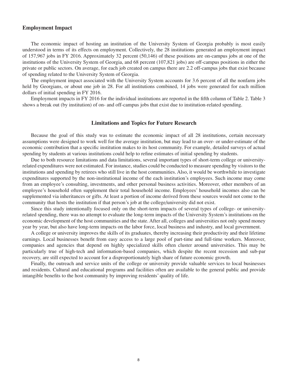#### **Employment Impact**

The economic impact of hosting an institution of the University System of Georgia probably is most easily understood in terms of its effects on employment. Collectively, the 28 institutions generated an employment impact of 157,967 jobs in FY 2016. Approximately 32 percent (50,146) of these positions are on-campus jobs at one of the institutions of the University System of Georgia, and 68 percent (107,821 jobs) are off-campus positions in either the private or public sectors. On average, for each job created on campus there are 2.2 off-campus jobs that exist because of spending related to the University System of Georgia.

The employment impact associated with the University System accounts for 3.6 percent of all the nonfarm jobs held by Georgians, or about one job in 28. For all institutions combined, 14 jobs were generated for each million dollars of initial spending in FY 2016.

Employment impacts in FY 2016 for the individual institutions are reported in the fifth column of Table 2. Table 3 shows a break out (by institution) of on- and off-campus jobs that exist due to institution-related spending.

#### **Limitations and Topics for Future Research**

Because the goal of this study was to estimate the economic impact of all 28 institutions, certain necessary assumptions were designed to work well for the average institution, but may lead to an over- or under-estimate of the economic contribution that a specific institution makes to its host community. For example, detailed surveys of actual spending by students at various institutions could help to refine estimates of initial spending by students.

Due to both resource limitations and data limitations, several important types of short-term college or universityrelated expenditures were not estimated. For instance, studies could be conducted to measure spending by visitors to the institutions and spending by retirees who still live in the host communities. Also, it would be worthwhile to investigate expenditures supported by the non-institutional income of the each institution's employees. Such income may come from an employee's consulting, investments, and other personal business activities. Moreover, other members of an employee's household often supplement their total household income. Employees' household incomes also can be supplemented via inheritances or gifts. At least a portion of income derived from these sources would not come to the community that hosts the institution if that person's job at the college/university did not exist.

Since this study intentionally focused only on the short-term impacts of several types of college- or universityrelated spending, there was no attempt to evaluate the long-term impacts of the University System's institutions on the economic development of the host communities and the state. After all, colleges and universities not only spend money year by year, but also have long-term impacts on the labor force, local business and industry, and local government.

A college or university improves the skills of its graduates, thereby increasing their productivity and their lifetime earnings. Local businesses benefit from easy access to a large pool of part-time and full-time workers. Moreover, companies and agencies that depend on highly specialized skills often cluster around universities. This may be particularly true of high-tech and information-based companies, which despite the recent recession and sub-par recovery, are still expected to account for a disproportionately high share of future economic growth.

Finally, the outreach and service units of the college or university provide valuable services to local businesses and residents. Cultural and educational programs and facilities often are available to the general public and provide intangible benefits to the host community by improving residents' quality of life.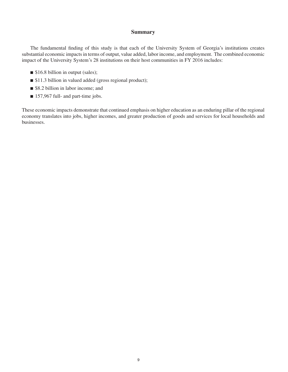#### **Summary**

The fundamental finding of this study is that each of the University System of Georgia's institutions creates substantial economic impacts in terms of output, value added, labor income, and employment. The combined economic impact of the University System's 28 institutions on their host communities in FY 2016 includes:

- $\blacksquare$  \$16.8 billion in output (sales);
- \$11.3 billion in valued added (gross regional product);
- \$8.2 billion in labor income; and
- $\blacksquare$  157,967 full- and part-time jobs.

These economic impacts demonstrate that continued emphasis on higher education as an enduring pillar of the regional economy translates into jobs, higher incomes, and greater production of goods and services for local households and businesses.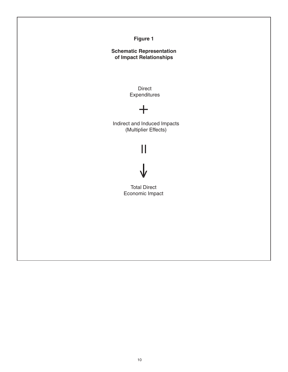# **Figure 1**

# **Schematic Representation of Impact Relationships**

Direct **Expenditures** 

# $+$

Indirect and Induced Impacts (Multiplier Effects)

# $\mathbf{||}$  $\bigvee$

 Total Direct Economic Impact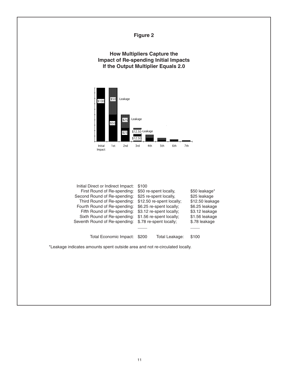# **Figure 2**

## **How Multipliers Capture the Impact of Re-spending Initial Impacts If the Output Multiplier Equals 2.0**



| Initial Direct or Indirect Impact: | \$100 |                           |                 |
|------------------------------------|-------|---------------------------|-----------------|
| First Round of Re-spending:        |       | \$50 re-spent locally,    | \$50 leakage*   |
| Second Round of Re-spending:       |       | \$25 re-spent locally,    | \$25 leakage    |
| Third Round of Re-spending:        |       | \$12.50 re-spent locally; | \$12.50 leakage |
| Fourth Round of Re-spending:       |       | \$6.25 re-spent locally;  | \$6.25 leakage  |
| Fifth Round of Re-spending:        |       | \$3.12 re-spent locally;  | \$3.12 leakage  |
| Sixth Round of Re-spending:        |       | \$1.56 re-spent locally;  | \$1.56 leakage  |
| Seventh Round of Re-spending:      |       | \$.78 re-spent locally;   | \$.78 leakage   |
|                                    |       |                           |                 |
| Total Economic Impact:             | \$200 | Total Leakage:            | \$100           |
|                                    |       |                           |                 |

\*Leakage indicates amounts spent outside area and not re-circulated locally.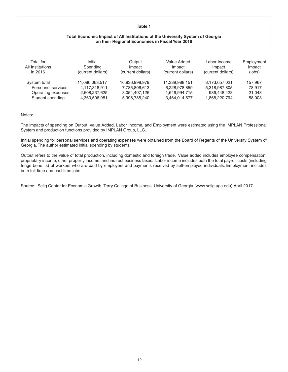#### **Table 1**

#### **Total Economic Impact of All Institutions of the University System of Georgia on their Regional Economies in Fiscal Year 2016**

| Total for<br>All Institutions<br>in 2016 | Initial<br>Spending<br>(current dollars) | Output<br>Impact<br>(current dollars) | Value Added<br>Impact<br>(current dollars) | Labor Income<br>Impact<br>(current dollars) | Employment<br>Impact<br>(iobs) |
|------------------------------------------|------------------------------------------|---------------------------------------|--------------------------------------------|---------------------------------------------|--------------------------------|
| System total                             | 11,086,063,517                           | 16,836,998,979                        | 11,339,988,151                             | 8,173,657,021                               | 157.967                        |
| Personnel services                       | 4.117.318.911                            | 7,785,806,613                         | 6,228,978,859                              | 5,318,987,805                               | 78.917                         |
| Operating expenses                       | 2,608,237,625                            | 3,054,407,126                         | 1,646,994,715                              | 986,448,423                                 | 21,048                         |
| Student spending                         | 4,360,506,981                            | 5,996,785,240                         | 3.464.014.577                              | 1.868.220.794                               | 58,003                         |

#### Notes:

The impacts of spending on Output, Value Added, Labor Income, and Employment were estimated using the IMPLAN Professional System and production functions provided by IMPLAN Group, LLC.

Initial spending for personal services and operating expenses were obtained from the Board of Regents of the University System of Georgia. The author estimated initial spending by students.

Output refers to the value of total production, including domestic and foreign trade. Value added includes employee compensation, proprietary income, other property income, and indirect business taxes. Labor income includes both the total payroll costs (including fringe benefits) of workers who are paid by employers and payments received by self-employed individuals. Employment includes both full-time and part-time jobs.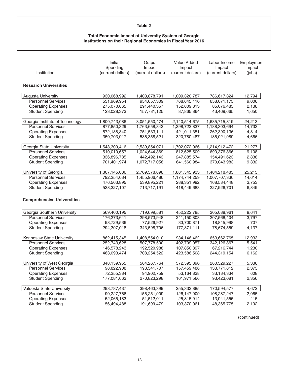#### **Table 2**

#### **Total Economic Impact of University System of Georgia Institutions on their Regional Economies in Fiscal Year 2016**

| Institution                       | Initial<br>Spending<br>(current dollars) | Output<br>Impact<br>(current dollars) | Value Added<br>Impact<br>(current dollars) | Labor Income<br>Impact<br>(current dollars) | Employment<br>Impact<br>(jobs) |
|-----------------------------------|------------------------------------------|---------------------------------------|--------------------------------------------|---------------------------------------------|--------------------------------|
| <b>Research Universities</b>      |                                          |                                       |                                            |                                             |                                |
| Augusta University                | 930,068,992                              | 1,403,878,791                         | 1,009,320,787                              | 786,617,324                                 | 12,794                         |
| <b>Personnel Services</b>         | 531,969,954                              | 954,657,309                           | 768,645,110                                | 658,071,175                                 | 9,006                          |
| <b>Operating Expenses</b>         | 275,070,665                              | 291,440,357                           | 152,809,813                                | 85,076,485                                  | 2,138                          |
| <b>Student Spending</b>           | 123,028,373                              | 157,781,125                           | 87,865,864                                 | 43,469,665                                  | 1,650                          |
| Georgia Institute of Technology   | 1,800,743,086                            | 3,051,550,474                         | 2,140,514,675                              | 1,635,715,819                               | 24,213                         |
| <b>Personnel Services</b>         | 877,850,329                              | 1,763,658,843                         | 1,398,722,837                              | 1,188,303,694                               | 14,733                         |
| <b>Operating Expenses</b>         | 572,188,840                              | 751,533,111                           | 421,011,351                                | 262,390,136                                 | 4,814                          |
| <b>Student Spending</b>           | 350,703,917                              | 536,358,521                           | 320,780,487                                | 185,021,989                                 | 4,666                          |
| Georgia State University          | 1,548,309,416                            | 2,539,854,071                         | 1,702,072,066                              | 1,214,912,472                               | 21,277                         |
| <b>Personnel Services</b>         | 510,010,657                              | 1,024,644,869                         | 812,625,509                                | 690,376,866                                 | 9,108                          |
| <b>Operating Expenses</b>         | 336,896,785                              | 442,492,143                           | 247,885,574                                | 154,491,623                                 | 2,838                          |
| <b>Student Spending</b>           | 701,401,974                              | 1,072,717,058                         | 641,560,984                                | 370,043,983                                 | 9,332                          |
| University of Georgia             | 1,807,145,036                            | 2,709,578,898                         | 1,881,545,933                              | 1,404,218,485                               | 25,215                         |
| <b>Personnel Services</b>         | 792,254,034                              | 1,455,966,486                         | 1,174,744,259                              | 1,007,707,336                               | 14,614                         |
| <b>Operating Expenses</b>         | 476,563,895                              | 539,895,221                           | 288,351,992                                | 168,584,448                                 | 3,753                          |
| <b>Student Spending</b>           | 538,327,107                              | 713,717,191                           | 418,449,683                                | 227,926,701                                 | 6,849                          |
| <b>Comprehensive Universities</b> |                                          |                                       |                                            |                                             |                                |
| Georgia Southern University       | 569,400,195                              | 719,699,581                           | 452,222,785                                | 305,088,961                                 | 8,641                          |
| <b>Personnel Services</b>         | 176,273,641                              | 298,573,948                           | 241,150,803                                | 207,568,404                                 | 3,797                          |
| <b>Operating Expenses</b>         | 98,729,536                               | 77,526,927                            | 33,700,871                                 | 18,845,998                                  | 707                            |
| <b>Student Spending</b>           | 294,397,018                              | 343,598,706                           | 177,371,111                                | 78,674,559                                  | 4,137                          |
| Kennesaw State University         | 862,415,345                              | 1,408,554,010                         | 934,146,462                                | 653,662,765                                 | 12,933                         |
| <b>Personnel Services</b>         | 252,743,628                              | 507,778,500                           | 402,709,057                                | 342,126,867                                 | 5,541                          |
| <b>Operating Expenses</b>         | 146,578,243                              | 192,520,988                           | 107,850,897                                | 67,216,744                                  | 1,230                          |
| <b>Student Spending</b>           | 463,093,474                              | 708,254,522                           | 423,586,508                                | 244,319,154                                 | 6,162                          |
| University of West Georgia        | 348,159,955                              | 564,267,764                           | 372,595,890                                | 260,329,227                                 | 5,336                          |
| <b>Personnel Services</b>         | 98.822.908                               | 198,541,707                           | 157,459,486                                | 133,771,812                                 | 2,373                          |
| <b>Operating Expenses</b>         | 72,255,384                               | 94,902,759                            | 53,164,838                                 | 33,134,334                                  | 608                            |
| <b>Student Spending</b>           | 177,081,663                              | 270,823,298                           | 161,971,566                                | 93,423,081                                  | 2,356                          |
| Valdosta State University         | 298,787,437                              | 398,463,399                           | 255,333,885                                | 170,594,577                                 | 4,672                          |
| <b>Personnel Services</b>         | 90,227,766                               | 155,251,909                           | 126,147,909                                | 108,287,247                                 | 2,065                          |
| <b>Operating Expenses</b>         | 52,065,183                               | 51,512,011                            | 25,815,914                                 | 13,941,555                                  | 415                            |
| <b>Student Spending</b>           | 156,494,488                              | 191,699,479                           | 103,370,061                                | 48,365,775                                  | 2,192                          |

(continued)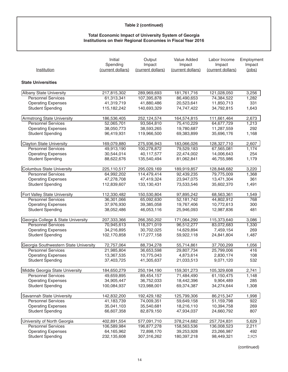# **Table 2 (continued)**

#### **Total Economic Impact of University System of Georgia Institutions on their Regional Economies in Fiscal Year 2016**

| Institution                           | Initial<br>Spending<br>(current dollars) | Output<br>Impact<br>(current dollars) | Value Added<br>Impact<br>(current dollars) | Labor Income<br>Impact<br>(current dollars) | Employment<br>Impact<br>(iobs) |
|---------------------------------------|------------------------------------------|---------------------------------------|--------------------------------------------|---------------------------------------------|--------------------------------|
| <b>State Universities</b>             |                                          |                                       |                                            |                                             |                                |
|                                       |                                          |                                       |                                            |                                             |                                |
| Albany State University               | 217,815,302                              | 289,969,693                           | 181,761,716                                | 121,028,050                                 | 3,256                          |
| <b>Personnel Services</b>             | 61,313,341                               | 107,395,878                           | 86,490,653                                 | 74,384,522                                  | 1,282                          |
| <b>Operating Expenses</b>             | 41,319,719                               | 41,880,486                            | 20,523,641                                 | 11,850,713                                  | 331                            |
| <b>Student Spending</b>               | 115, 182, 242                            | 140,693,329                           | 74,747,422                                 | 34,792,815                                  | 1,643                          |
| Armstrong State University            | 186,536,405                              | 252,124,574                           | 164,574,815                                | 111,661,464                                 | 2,673                          |
| <b>Personnel Services</b>             | 52,065,701                               | 93,564,810                            | 75,410,229                                 | 64,677,729                                  | 1,213                          |
| <b>Operating Expenses</b>             | 38,050,773                               | 38,593,265                            | 19,780,687                                 | 11,287,559                                  | 292                            |
| <b>Student Spending</b>               | 96,419,931                               | 119,966,500                           | 69,383,899                                 | 35,696,176                                  | 1,168                          |
| <b>Clayton State University</b>       | 169,079,880                              | 275,936,943                           | 183,066,026                                | 128,327,710                                 | 2,607                          |
| <b>Personnel Services</b>             | 49,913,190                               | 100,278,872                           | 79,529,183                                 | 67,565,081                                  | 1,174                          |
| <b>Operating Expenses</b>             | 30,544,014                               | 40,117,577                            | 22,474,002                                 | 14,006,643                                  | 254                            |
| <b>Student Spending</b>               | 88,622,676                               | 135,540,494                           | 81,062,841                                 | 46,755,986                                  | 1,179                          |
| Columbus State University             | 225,110,517                              | 295,029,169                           | 189,919,857                                | 128,848,682                                 | 3,220                          |
| <b>Personnel Services</b>             | 64,992,202                               | 114,479,414                           | 92,439,235                                 | 79,775,009                                  | 1,368                          |
| <b>Operating Expenses</b>             | 47,278,708                               | 47,419,324                            | 23,947,075                                 | 13,471,304                                  | 361                            |
| <b>Student Spending</b>               | 112,839,607                              | 133,130,431                           | 73,533,546                                 | 35,602,370                                  | 1,491                          |
| Fort Valley State University          | 112,330,482                              | 150,530,804                           | 97,895,242                                 | 68,563,361                                  | 1,549                          |
| <b>Personnel Services</b>             | 36,301,066                               | 65,092,630                            | 52,181,742                                 | 44,802,912                                  | 768                            |
| <b>Operating Expenses</b>             | 37,976,930                               | 39,385,058                            | 19,767,406                                 | 10,772,613                                  | 300                            |
| <b>Student Spending</b>               | 38,052,486                               | 46,053,116                            | 25,946,093                                 | 12,987,836                                  | 481                            |
| Georgia College & State University    | 207,333,366                              | 266,350,202                           | 171,064,290                                | 115,373,640                                 | 3,086                          |
| <b>Personnel Services</b>             | 70,945,613                               | 118,371,019                           | 96,512,277                                 | 83,072,683                                  | 1,330                          |
| <b>Operating Expenses</b>             | 34,216,895                               | 30,702,025                            | 14,629,894                                 | 7,459,154                                   | 269                            |
| <b>Student Spending</b>               | 102,170,858                              | 117,277,158                           | 59,922,118                                 | 24,841,804                                  | 1,487                          |
| Georgia Southwestern State University | 72,757,064                               | 88,734,278                            | 55,714,861                                 | 37,700,299                                  | 1,056                          |
| <b>Personnel Services</b>             | 21,985,804                               | 36,653,598                            | 29,807,734                                 | 25,799,006                                  | 416                            |
| <b>Operating Expenses</b>             | 13,367,535                               | 10,775,043                            | 4,873,614                                  | 2,830,174                                   | 108                            |
| <b>Student Spending</b>               | 37,403,725                               | 41,305,637                            | 21,033,513                                 | 9,071,120                                   | 532                            |
| Middle Georgia State University       | 184,650,279                              | 250,194,190                           | 159,301,273                                | 105,329,608                                 | 2,741                          |
| <b>Personnel Services</b>             | 49,659,895                               | 89,454,157                            | 71,484,490                                 | 61,150,475                                  | 1,148                          |
| <b>Operating Expenses</b>             | 34,905,447                               | 36,752,033                            | 18,442,396                                 | 9,904,489                                   | 285                            |
| <b>Student Spending</b>               | 100,084,937                              | 123,988,001                           | 69,374,387                                 | 34,274,644                                  | 1,308                          |
| Savannah State University             | 142,832,200                              | 192,429,182                           | 125,799,306                                | 86,215,347                                  | 1,998                          |
| <b>Personnel Services</b>             | 41,183,739                               | 74,009,351                            | 59,649,158                                 | 51,159,798                                  | 922                            |
| <b>Operating Expenses</b>             | 35,041,103                               | 35,540,681                            | 18,216,110                                 | 10,394,758                                  | 269                            |
| <b>Student Spending</b>               | 66,607,358                               | 82,879,150                            | 47,934,037                                 | 24,660,792                                  | 807                            |
| University of North Georgia           | 402,891,554                              | 577,091,710                           | 378,214,682                                | 257,724,831                                 | 5,629                          |
| <b>Personnel Services</b>             | 106,589,984                              | 196,877,278                           | 158,563,536                                | 136,008,523                                 | 2,211                          |
| <b>Operating Expenses</b>             | 64,165,962                               | 72,898,170                            | 39,253,928                                 | 23,266,987                                  | 492                            |
| <b>Student Spending</b>               | 232,135,608                              | 307,316,262                           | 180,397,218                                | 98,449,321                                  | 2,925                          |

(continued)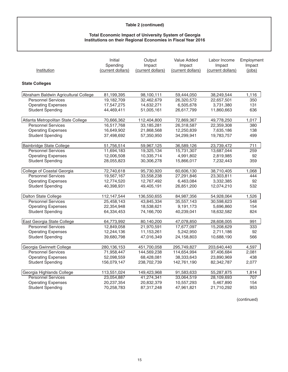# **Table 2 (continued)**

#### **Total Economic Impact of University System of Georgia Institutions on their Regional Economies in Fiscal Year 2016**

| Institution                          | Initial<br>Spending<br>(current dollars) | Output<br>Impact<br>(current dollars) | Value Added<br>Impact<br>(current dollars) | Labor Income<br>Impact<br>(current dollars) | Employment<br>Impact<br>(iobs) |
|--------------------------------------|------------------------------------------|---------------------------------------|--------------------------------------------|---------------------------------------------|--------------------------------|
| <b>State Colleges</b>                |                                          |                                       |                                            |                                             |                                |
| Abraham Baldwin Agricultural College | 81,199,395                               | 98,100,111                            | 59,444,050                                 | 38,249,544                                  | 1,116                          |
| <b>Personnel Services</b>            | 19,182,709                               | 32,462,679                            | 26,320,572                                 | 22,657,501                                  | 350                            |
| <b>Operating Expenses</b>            | 17,547,275                               | 14,632,271                            | 6,505,678                                  | 3,731,380                                   | 131                            |
| <b>Student Spending</b>              | 44,469,411                               | 51,005,161                            | 26,617,799                                 | 11,860,663                                  | 636                            |
| Atlanta Metropolitan State College   | 70,666,362                               | 112,404,800                           | 72,869,367                                 | 49,778,250                                  | 1,017                          |
| <b>Personnel Services</b>            | 16,517,768                               | 33,185,281                            | 26,318,587                                 | 22,359,308                                  | 380                            |
| <b>Operating Expenses</b>            | 16,649,902                               | 21,868,568                            | 12,250,839                                 | 7,635,186                                   | 138                            |
| <b>Student Spending</b>              | 37,498,692                               | 57,350,950                            | 34,299,941                                 | 19,783,757                                  | 499                            |
| Bainbridge State College             | 51,756,514                               | 59,967,125                            | 36,589,126                                 | 23,739,472                                  | 711                            |
| <b>Personnel Services</b>            | 11,694,183                               | 19,325,134                            | 15,731,307                                 | 13,687,044                                  | 259                            |
| <b>Operating Expenses</b>            | 12,006,508                               | 10,335,714                            | 4,991,802                                  | 2,819,985                                   | 92                             |
| <b>Student Spending</b>              | 28,055,823                               | 30,306,278                            | 15,866,017                                 | 7,232,443                                   | 359                            |
| College of Coastal Georgia           | 72,740,618                               | 95,730,920                            | 60,606,130                                 | 38,710,405                                  | 1,068                          |
| <b>Personnel Services</b>            | 19,567,167                               | 33,558,238                            | 27,291,846                                 | 23,303,811                                  | 444                            |
| <b>Operating Expenses</b>            | 12,774,520                               | 12,767,492                            | 6,463,084                                  | 3,332,385                                   | 92                             |
| <b>Student Spending</b>              | 40,398,931                               | 49,405,191                            | 26,851,200                                 | 12,074,210                                  | 532                            |
| Dalton State College                 | 112,147,544                              | 136,550,655                           | 84,987,356                                 | 54,928,064                                  | 1,526                          |
| Personnel Services                   | 25,458,143                               | 43,845,334                            | 35,557,143                                 | 30,598,623                                  | 548                            |
| <b>Operating Expenses</b>            | 22,354,948                               | 18,538,621                            | 9,191,173                                  | 5,696,860                                   | 154                            |
| <b>Student Spending</b>              | 64,334,453                               | 74,166,700                            | 40,239,041                                 | 18,632,582                                  | 824                            |
| East Georgia State College           | 64,773,992                               | 80,140,200                            | 47,078,850                                 | 28,608,005                                  | 991                            |
| <b>Personnel Services</b>            | 12,849,058                               | 21,970,591                            | 17,677,097                                 | 15,208,629                                  | 333                            |
| <b>Operating Expenses</b>            | 12,244,136                               | 11,153,261                            | 5,242,950                                  | 2,711,186                                   | 92                             |
| <b>Student Spending</b>              | 39,680,798                               | 47,016,349                            | 24,158,803                                 | 10,688,190                                  | 566                            |
| Georgia Gwinnett College             | 280,136,153                              | 451,700,058                           | 295,749,827                                | 203,640,440                                 | 4,597                          |
| <b>Personnel Services</b>            | 71,958,447                               | 144,569,238                           | 114,654,994                                | 97,406,684                                  | 2,081                          |
| <b>Operating Expenses</b>            | 52,098,559                               | 68,428,081                            | 38,333,643                                 | 23,890,969                                  | 438                            |
| <b>Student Spending</b>              | 156,079,147                              | 238,702,739                           | 142,761,190                                | 82,342,787                                  | 2,077                          |
| Georgia Highlands College            | 113,551,024                              | 149,423,968                           | 91,583,633                                 | 55,287,875                                  | 1,814                          |
| <b>Personnel Services</b>            | 23,054,887                               | 41,274,341                            | 33,064,519                                 | 28,109,693                                  | 707                            |
| <b>Operating Expenses</b>            | 20,237,354                               | 20,832,379                            | 10,557,293                                 | 5,467,890                                   | 154                            |
| <b>Student Spending</b>              | 70,258,783                               | 87,317,248                            | 47,961,821                                 | 21,710,292                                  | 953                            |

(continued)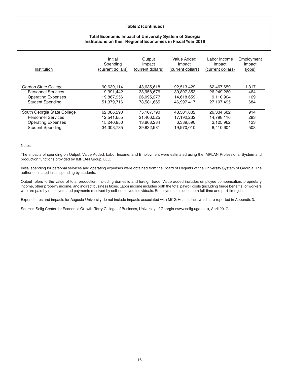#### **Table 2 (continued)**

#### **Total Economic Impact of University System of Georgia Institutions on their Regional Economies in Fiscal Year 2016**

| Institution                 | Initial<br>Spending<br>(current dollars) | Output<br>Impact<br>(current dollars) | Value Added<br>Impact<br>(current dollars) | Labor Income<br>Impact<br>(current dollars) | Employment<br>Impact<br>(jobs) |
|-----------------------------|------------------------------------------|---------------------------------------|--------------------------------------------|---------------------------------------------|--------------------------------|
| Gordon State College        | 90,639,114                               | 143.635.618                           | 92.513.429                                 | 62.467.659                                  | 1,317                          |
| <b>Personnel Services</b>   | 19,391,442                               | 38,958,676                            | 30,897,353                                 | 26,249,260                                  | 464                            |
| <b>Operating Expenses</b>   | 19.867.956                               | 26.095.277                            | 14.618.659                                 | 9.110.904                                   | 169                            |
| <b>Student Spending</b>     | 51,379,716                               | 78.581.665                            | 46.997.417                                 | 27.107.495                                  | 684                            |
| South Georgia State College | 62,086,290                               | 75,107,790                            | 43,501,832                                 | 26,334,682                                  | 914                            |
| <b>Personnel Services</b>   | 12.541.655                               | 21.406.525                            | 17.192.232                                 | 14.798.116                                  | 283                            |
| <b>Operating Expenses</b>   | 15,240,850                               | 13,868,284                            | 6,339,590                                  | 3,125,962                                   | 123                            |
| <b>Student Spending</b>     | 34.303.785                               | 39.832.981                            | 19.970.010                                 | 8.410.604                                   | 508                            |

#### Notes:

The impacts of spending on Output, Value Added, Labor Income, and Employment were estimated using the IMPLAN Professional System and production functions provided by IMPLAN Group, LLC.

Initial spending for personal services and operating expenses were obtained from the Board of Regents of the University System of Georgia. The author estimated initial spending by students.

Output refers to the value of total production, including domestic and foreign trade. Value added includes employee compensation, proprietary income, other property income, and indirect business taxes. Labor income includes both the total payroll costs (including fringe benefits) of workers who are paid by employers and payments received by self-employed individuals. Employment includes both full-time and part-time jobs.

Expenditures and impacts for Augusta University do not include impacts associated with MCG Health, Inc., which are reported in Appendix 3.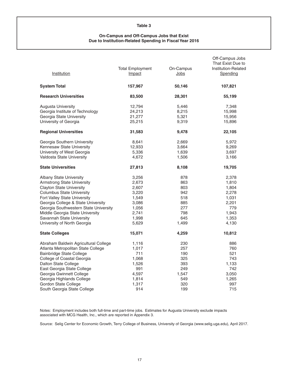#### **Table 3**

#### **On-Campus and Off-Campus Jobs that Exist Due to Institution-Related Spending in Fiscal Year 2016**

| Institution                           | <b>Total Employment</b><br>Impact | On-Campus<br>Jobs | Off-Campus Jobs<br>That Exist Due to<br>Institution-Related<br>Spending |
|---------------------------------------|-----------------------------------|-------------------|-------------------------------------------------------------------------|
| <b>System Total</b>                   | 157,967                           | 50,146            | 107,821                                                                 |
| <b>Research Universities</b>          | 83,500                            | 28,301            | 55,199                                                                  |
| Augusta University                    | 12,794                            | 5,446             | 7,348                                                                   |
| Georgia Institute of Technology       | 24,213                            | 8,215             | 15,998                                                                  |
| Georgia State University              | 21,277                            | 5,321             | 15,956                                                                  |
| University of Georgia                 | 25,215                            | 9,319             | 15,896                                                                  |
| <b>Regional Universities</b>          | 31,583                            | 9,478             | 22,105                                                                  |
| Georgia Southern University           | 8,641                             | 2,669             | 5,972                                                                   |
| Kennesaw State University             | 12,933                            | 3,664             | 9,269                                                                   |
| University of West Georgia            | 5,336                             | 1,639             | 3,697                                                                   |
| Valdosta State University             | 4,672                             | 1,506             | 3,166                                                                   |
| <b>State Universities</b>             | 27,813                            | 8,108             | 19,705                                                                  |
| <b>Albany State University</b>        | 3,256                             | 878               | 2,378                                                                   |
| <b>Armstrong State University</b>     | 2,673                             | 863               | 1,810                                                                   |
| <b>Clayton State University</b>       | 2,607                             | 803               | 1,804                                                                   |
| <b>Columbus State University</b>      | 3,220                             | 942               | 2,278                                                                   |
| Fort Valley State University          | 1,549                             | 518               | 1,031                                                                   |
| Georgia College & State University    | 3,086                             | 885               | 2,201                                                                   |
| Georgia Southwestern State University | 1,056                             | 277               | 779                                                                     |
| Middle Georgia State University       | 2,741                             | 798               | 1,943                                                                   |
| Savannah State University             | 1,998                             | 645               | 1,353                                                                   |
| University of North Georgia           | 5,629                             | 1,499             | 4,130                                                                   |
| <b>State Colleges</b>                 | 15,071                            | 4,259             | 10,812                                                                  |
| Abraham Baldwin Agricultural College  | 1,116                             | 230               | 886                                                                     |
| Atlanta Metropolitan State College    | 1,017                             | 257               | 760                                                                     |
| Bainbridge State College              | 711                               | 190               | 521                                                                     |
| College of Coastal Georgia            | 1,068                             | 325               | 743                                                                     |
| Dalton State College                  | 1,526                             | 393               | 1,133                                                                   |
| East Georgia State College            | 991                               | 249               | 742                                                                     |
| Georgia Gwinnett College              | 4,597                             | 1,547             | 3,050                                                                   |
| Georgia Highlands College             | 1,814                             | 549               | 1,265                                                                   |
| Gordon State College                  | 1,317                             | 320               | 997                                                                     |
| South Georgia State College           | 914                               | 199               | 715                                                                     |

Notes: Employment includes both full-time and part-time jobs. Estimates for Augusta University exclude impacts associated with MCG Health, Inc., which are reported in Appendix 3.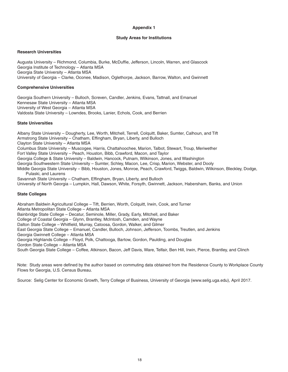#### **Study Areas for Institutions**

#### **Research Universities**

Augusta University – Richmond, Columbia, Burke, McDuffie, Jefferson, Lincoln, Warren, and Glascock Georgia Institute of Technology – Atlanta MSA Georgia State University – Atlanta MSA University of Georgia – Clarke, Oconee, Madison, Oglethorpe, Jackson, Barrow, Walton, and Gwinnett

#### **Comprehensive Universities**

Georgia Southern University – Bulloch, Screven, Candler, Jenkins, Evans, Tattnall, and Emanuel Kennesaw State University – Atlanta MSA University of West Georgia – Atlanta MSA Valdosta State University – Lowndes, Brooks, Lanier, Echols, Cook, and Berrien

#### **State Universities**

Albany State University – Dougherty, Lee, Worth, Mitchell, Terrell, Colquitt, Baker, Sumter, Calhoun, and Tift Armstrong State University – Chatham, Effingham, Bryan, Liberty, and Bulloch Clayton State University – Atlanta MSA Columbus State University – Muscogee, Harris, Chattahoochee, Marion, Talbot, Stewart, Troup, Meriwether Fort Valley State University – Peach, Houston, Bibb, Crawford, Macon, and Taylor Georgia College & State University – Baldwin, Hancock, Putnam, Wilkinson, Jones, and Washington Georgia Southwestern State University – Sumter, Schley, Macon, Lee, Crisp, Marion, Webster, and Dooly Middle Georgia State University – Bibb, Houston, Jones, Monroe, Peach, Crawford, Twiggs, Baldwin, Wilkinson, Bleckley, Dodge, Pulaski, and Laurens Savannah State University – Chatham, Effingham, Bryan, Liberty, and Bulloch University of North Georgia – Lumpkin, Hall, Dawson, White, Forsyth, Gwinnett, Jackson, Habersham, Banks, and Union

#### **State Colleges**

Abraham Baldwin Agricultural College – Tift, Berrien, Worth, Colquitt, Irwin, Cook, and Turner Atlanta Metropolitan State College – Atlanta MSA Bainbridge State College – Decatur, Seminole, Miller, Grady, Early, Mitchell, and Baker College of Coastal Georgia – Glynn, Brantley, McIntosh, Camden, and Wayne Dalton State College – Whitfield, Murray, Catoosa, Gordon, Walker, and Gilmer East Georgia State College – Emanuel, Candler, Bulloch, Johnson, Jefferson, Toombs, Treutlen, and Jenkins Georgia Gwinnett College – Atlanta MSA Georgia Highlands College – Floyd, Polk, Chattooga, Bartow, Gordon, Paulding, and Douglas Gordon State College – Atlanta MSA South Georgia State College – Coffee, Atkinson, Bacon, Jeff Davis, Ware, Telfair, Ben Hill, Irwin, Pierce, Brantley, and Clinch

Note: Study areas were defined by the author based on commuting data obtained from the Residence County to Workplace County Flows for Georgia, U.S. Census Bureau.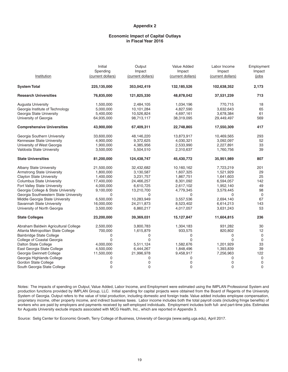#### **Economic Impact of Capital Outlays in Fiscal Year 2016**

| Institution                           | Initial<br>Spending<br>(current dollars) | Output<br>Impact<br>(current dollars) | Value Added<br>Impact<br>(current dollars) | Labor Income<br>Impact<br>(current dollars) | Employment<br>Impact<br>(jobs |
|---------------------------------------|------------------------------------------|---------------------------------------|--------------------------------------------|---------------------------------------------|-------------------------------|
| <b>System Total</b>                   | 225,135,000                              | 353,042,419                           | 132,185,526                                | 102,638,352                                 | 2,173                         |
| <b>Research Universities</b>          | 76,835,000                               | 121,825,330                           | 48,878,042                                 | 37,531,239                                  | 713                           |
| Augusta University                    | 1,500,000                                | 2,484,105                             | 1,034,196                                  | 770,715                                     | 18                            |
| Georgia Institute of Technology       | 5,000,000                                | 10,101,284                            | 4,827,590                                  | 3,632,643                                   | 65                            |
| Georgia State University              | 5,400,000                                | 10,526,824                            | 4,697,161                                  | 3,678,384                                   | 61                            |
| University of Georgia                 | 64,935,000                               | 98,713,117                            | 38,319,095                                 | 29,449,497                                  | 569                           |
| <b>Comprehensive Universities</b>     | 43,900,000                               | 67,409,311                            | 22,748,865                                 | 17,550,309                                  | 417                           |
| Georgia Southern University           | 33,600,000                               | 48,146,220                            | 13,873,917                                 | 10,469,565                                  | 293                           |
| Kennesaw State University             | 4,900,000                                | 9,372,625                             | 4,030,321                                  | 3,092,097                                   | 52                            |
| University of West Georgia            | 1,900,000                                | 4,385,956                             | 2,533,990                                  | 2,227,891                                   | 33                            |
| Valdosta State University             | 3,500,000                                | 5,504,510                             | 2,310,637                                  | 1,760,756                                   | 39                            |
| <b>State Universities</b>             | 81,200,000                               | 124,438,747                           | 45,430,772                                 | 35,951,989                                  | 807                           |
| Albany State University               | 21,500,000                               | 32,432,682                            | 10,160,162                                 | 7,723,219                                   | 201                           |
| <b>Armstrong State University</b>     | 1,800,000                                | 3,130,587                             | 1,607,325                                  | 1,521,929                                   | 29                            |
| <b>Clayton State University</b>       | 1,400,000                                | 3,231,757                             | 1,867,751                                  | 1,641,603                                   | 25                            |
| <b>Columbus State University</b>      | 17,400,000                               | 24,466,257                            | 8,301,092                                  | 6,594,057                                   | 142                           |
| Fort Valley State University          | 4,000,000                                | 6,610,725                             | 2,617,102                                  | 1,952,140                                   | 49                            |
| Georgia College & State University    | 9,100,000                                | 13,210,700                            | 4,779,345                                  | 3,579,445                                   | 98                            |
| Georgia Southwestern State University | 0                                        | 0                                     | 0                                          | 0                                           | 0                             |
| Middle Georgia State University       | 6,500,000                                | 10,283,949                            | 3,557,536                                  | 2,694,140                                   | 67                            |
| Savannah State University             | 16,000,000                               | 24,211,873                            | 8,523,402                                  | 6,614,213                                   | 143                           |
| University of North Georgia           | 3,500,000                                | 6,860,217                             | 4,017,057                                  | 3,631,243                                   | 53                            |
| <b>State Colleges</b>                 | 23,200,000                               | 39,369,031                            | 15,127,847                                 | 11,604,815                                  | 236                           |
| Abraham Baldwin Agricultural College  | 2,500,000                                | 3,800,783                             | 1,304,183                                  | 931,282                                     | 30                            |
| Atlanta Metropolitan State College    | 700,000                                  | 1,615,879                             | 933,575                                    | 820,802                                     | 12                            |
| <b>Bainbridge State College</b>       | 0                                        | 0                                     | 0                                          | 0                                           | 0                             |
| College of Coastal Georgia            | 0                                        | 0                                     | $\mathbf{0}$                               | $\Omega$                                    | 0                             |
| Dalton State College                  | 4,000,000                                | 5,511,124                             | 1,582,676                                  | 1,201,929                                   | 33                            |
| East Georgia State College            | 4,500,000                                | 6,444,267                             | 1,848,496                                  | 1,393,839                                   | 39                            |
| Georgia Gwinnett College              | 11,500,000                               | 21,996,978                            | 9,458,917                                  | 7,256,963                                   | 122                           |
| Georgia Highlands College             | 0                                        | 0                                     | 0                                          | 0                                           | 0                             |
| Gordon State College                  | 0                                        | 0                                     | 0                                          | $\mathbf 0$                                 | $\mathbf 0$                   |
| South Georgia State College           | $\Omega$                                 | 0                                     | $\mathbf 0$                                | $\Omega$                                    | $\mathbf 0$                   |

Notes: The impacts of spending on Output, Value Added, Labor Income, and Employment were estimated using the IMPLAN Professional System and production functions provided by IMPLAN Group, LLC. Initial spending for capital projects were obtained from the Board of Regents of the University System of Georgia. Output refers to the value of total production, including domestic and foreign trade. Value added includes employee compensation, proprietary income, other property income, and indirect business taxes. Labor income includes both the total payroll costs (including fringe benefits) of workers who are paid by employers and payments received by self-employed individuals. Employment includes both full- and part-time jobs. Estimates for Augusta University exclude impacts associated with MCG Health, Inc., which are reported in Appendix 3.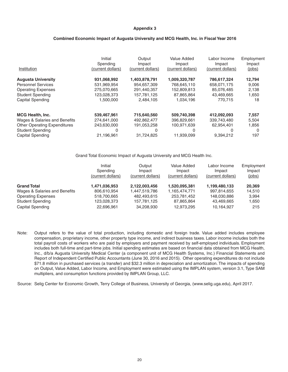#### **Combined Economic Impact of Augusta University and MCG Health, Inc. in Fiscal Year 2016**

| Institution                         | Initial<br>Spending<br>(current dollars) | Output<br>Impact<br>(current dollars) | Value Added<br>Impact<br>(current dollars) | Labor Income<br>Impact<br>(current dollars) | Employment<br>Impact<br>(jobs) |
|-------------------------------------|------------------------------------------|---------------------------------------|--------------------------------------------|---------------------------------------------|--------------------------------|
| <b>Augusta University</b>           | 931,068,992                              | 1,403,878,791                         | 1,009,320,787                              | 786,617,324                                 | 12,794                         |
| <b>Personnel Services</b>           | 531,969,954                              | 954,657,309                           | 768,645,110                                | 658,071,175                                 | 9,006                          |
| <b>Operating Expenses</b>           | 275,070,665                              | 291,440,357                           | 152,809,813                                | 85.076.485                                  | 2,138                          |
| <b>Student Spending</b>             | 123,028,373                              | 157.781.125                           | 87,865,864                                 | 43.469.665                                  | 1,650                          |
| Capital Spending                    | 1,500,000                                | 2,484,105                             | 1,034,196                                  | 770.715                                     | 18                             |
| <b>MCG Health, Inc.</b>             | 539,467,961                              | 715,640,560                           | 509,740,398                                | 412,092,093                                 | 7,557                          |
| Wages & Salaries and Benefits       | 274,641,000                              | 492,862,477                           | 396,829,661                                | 339,743,480                                 | 5,504                          |
| <b>Other Operating Expenditures</b> | 243,630,000                              | 191,053,258                           | 100,971,639                                | 62,954,401                                  | 1,856                          |
| <b>Student Spending</b>             | 0                                        | 0                                     | 0                                          | 0                                           | 0                              |
| <b>Capital Spending</b>             | 21,196,961                               | 31,724,825                            | 11,939,099                                 | 9,394,212                                   | 197                            |

Grand Total Economic Impact of Augusta University and MCG Health Inc.

|                               | Initial<br>Spending<br>(current dollars) | Output<br>Impact<br>(current dollars) | Value Added<br>Impact<br>(current dollars) | Labor Income<br>Impact<br>(current dollars) | Employment<br>Impact<br>(jobs) |
|-------------------------------|------------------------------------------|---------------------------------------|--------------------------------------------|---------------------------------------------|--------------------------------|
| <b>Grand Total</b>            | 1,471,036,953                            | 2,122,003,456                         | 1,520,095,381                              | 1,199,480,133                               | 20,369                         |
| Wages & Salaries and Benefits | 806.610.954                              | 1,447,519,786                         | 1,165,474,771                              | 997.814.655                                 | 14.510                         |
| <b>Operating Expenses</b>     | 518,700,665                              | 482.493.615                           | 253,781,452                                | 148.030.886                                 | 3.994                          |
| <b>Student Spending</b>       | 123,028,373                              | 157,781,125                           | 87,865,864                                 | 43,469,665                                  | 1,650                          |
| Capital Spending              | 22,696,961                               | 34.208.930                            | 12,973,295                                 | 10,164,927                                  | 215                            |

Note: Output refers to the value of total production, including domestic and foreign trade. Value added includes employee compensation, proprietary income, other property type income, and indirect business taxes. Labor income includes both the total payroll costs of workers who are paid by employers and payment received by self-employed individuals. Employment includes both full-time and part-time jobs. Initial spending estimates are based on financial data obtained from MCG Health, Inc., d/b/a Augusta University Medical Center (a component unit of MCG Health Systems, Inc.) Financial Statements and Report of Independent Certified Public Accountants (June 30, 2016 and 2015). Other operating expenditures do not include \$71.8 million in purchased services (a transfer) and \$32.3 million in depreciation and amortization. The impacts of spending on Output, Value Added, Labor Income, and Employment were estimated using the IMPLAN system, version 3.1, Type SAM multipliers, and consumption functions provided by IMPLAN Group, LLC.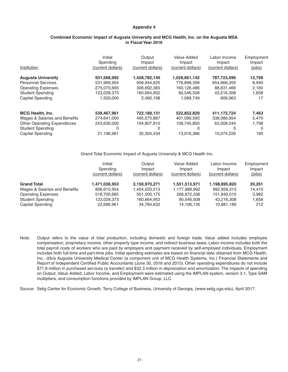#### **Combined Economic Impact of Augusta University and MCG Health, Inc. on the Augusta MSA in Fiscal Year 2016**

|                                     | Initial<br>Spending | Output<br>Impact  | Value Added<br>Impact | Labor Income<br>Impact | Employment<br>Impact |
|-------------------------------------|---------------------|-------------------|-----------------------|------------------------|----------------------|
| Institution                         | (current dollars)   | (current dollars) | (current dollars)     | (current dollars)      | (jobs)               |
| <b>Augusta University</b>           | 931,568,992         | 1.428.782.140     | 1.028.661.142         | 787.723.096            | 12,799               |
| <b>Personnel Services</b>           | 531,969,954         | 958,944,625       | 776,898,399           | 654,868,359            | 8,940                |
| <b>Operating Expenses</b>           | 275,070,665         | 306,692,365       | 160,126,486           | 88,831,466             | 2,184                |
| <b>Student Spending</b>             | 123.028.373         | 160.664.952       | 90.546.508            | 43.216.308             | 1,658                |
| <b>Capital Spending</b>             | 1.500.000           | 2.480.198         | 1.089.749             | 806.963                | 17                   |
| <b>MCG Health, Inc.</b>             | 539,467,961         | 722,188,131       | 522,852,829           | 411,172,724            | 7,463                |
| Wages & Salaries and Benefits       | 274,641,000         | 495.075.887       | 401.090.593           | 338.089.954            | 5,470                |
| <b>Other Operating Expenditures</b> | 243,630,000         | 194,807,810       | 108,745,850           | 63.008.544             | 1,798                |
| <b>Student Spending</b>             | 0                   | 0                 | 0                     | 0                      | 0                    |
| <b>Capital Spending</b>             | 21,196,961          | 32,304,434        | 13,016,386            | 10,074,226             | 195                  |

Grand Total Economic Impact of Augusta University & MCG Health Inc.

|                               | Initial<br>Spending<br>(current dollars) | Output<br>Impact<br>(current dollars) | Value Added<br>Impact<br>(current dollars) | Labor Income<br>Impact<br>(current dollars) | Employment<br>Impact<br>(jobs) |
|-------------------------------|------------------------------------------|---------------------------------------|--------------------------------------------|---------------------------------------------|--------------------------------|
| <b>Grand Total</b>            | 1,471,036,953                            | 2,150,970,271                         | 1,551,513,971                              | 1,198,895,820                               | 20,261                         |
| Wages & Salaries and Benefits | 806.610.954                              | 1.454.020.513                         | 1,177,988,992                              | 992,958,313                                 | 14.410                         |
| <b>Operating Expenses</b>     | 518,700,665                              | 501.500.175                           | 268,872,336                                | 151,840,010                                 | 3,982                          |
| <b>Student Spending</b>       | 123,028,373                              | 160,664,952                           | 90,546,508                                 | 43.216.308                                  | 1,658                          |
| Capital Spending              | 22,696,961                               | 34,784,632                            | 14,106,135                                 | 10,881,189                                  | 212                            |

Note: Output refers to the value of total production, including domestic and foreign trade. Value added includes employee compensation, proprietary income, other property type income, and indirect business taxes. Labor income includes both the total payroll costs of workers who are paid by employers and payment received by self-employed individuals. Employment includes both full-time and part-time jobs. Initial spending estimates are based on financial data obtained from MCG Health, Inc., d/b/a Augusta University Medical Center (a component unit of MCG Health Systems, Inc.) Financial Statements and Report of Independent Certified Public Accountants (June 30, 2016 and 2015). Other operating expenditures do not include \$71.8 million in purchased services (a transfer) and \$32.3 million in depreciation and amortization. The impacts of spending on Output, Value Added, Labor Income, and Employment were estimated using the IMPLAN system, version 3.1, Type SAM multipliers, and consumption functions provided by IMPLAN Group, LLC.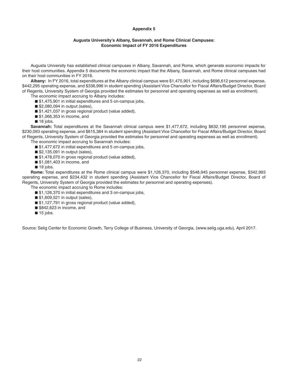#### **Augusta University's Albany, Savannah, and Rome Clinical Campuses: Economic Impact of FY 2016 Expenditures**

Augusta University has established clinical campuses in Albany, Savannah, and Rome, which generate economic impacts for their host communities. Appendix 5 documents the economic impact that the Albany, Savannah, and Rome clinical campuses had on their host communities in FY 2016.

**Albany:** In FY 2016, total expenditures at the Albany clinical campus were \$1,475,901, including \$696,612 personnel expense, \$442,295 operating expense, and \$336,996 in student spending (Assistant Vice Chancellor for Fiscal Affairs/Budget Director, Board of Regents, University System of Georgia provided the estimates for personnel and operating expenses as well as enrollment).

The economic impact accruing to Albany includes:

■ \$1,475,901 in initial expenditures and 5 on-campus jobs,

 $\blacksquare$  \$2,080,094 in output (sales),

■ \$1,421,037 in gross regional product (value added),

■ \$1,066,353 in income, and

 $\blacksquare$  18 jobs.

**Savannah:** Total expenditures at the Savannah clinical campus were \$1,477,672, including \$632,195 personnel expense, \$230,093 operating expense, and \$615,384 in student spending (Assistant Vice Chancellor for Fiscal Affairs/Budget Director, Board of Regents, University System of Georgia provided the estimates for personnel and operating expenses as well as enrollment). The economic impact accruing to Savannah includes:

■ \$1,477,672 in initial expenditures and 5 on-campus jobs,

 $\blacksquare$  \$2,135,091 in output (sales),

■ \$1,478,070 in gross regional product (value added),

■ \$1,081,403 in income, and

 $\blacksquare$  19 jobs.

**Rome:** Total expenditures at the Rome clinical campus were \$1,126,370, including \$548,945 personnel expense, \$342,993 operating expense, and \$234,432 in student spending (Assistant Vice Chancellor for Fiscal Affairs/Budget Director, Board of Regents, University System of Georgia provided the estimates for personnel and operating expenses).

The economic impact accruing to Rome includes:

■ \$1,126,370 in initial expenditures and 3 on-campus jobs,

■ \$1,609,521 in output (sales),

■ \$1,127,791 in gross regional product (value added),

■ \$842,623 in income, and

 $\blacksquare$  15 jobs.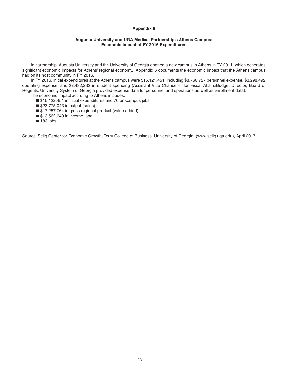#### **Augusta University and UGA Medical Partnership's Athens Campus: Economic Impact of FY 2016 Expenditures**

In partnership, Augusta University and the University of Georgia opened a new campus in Athens in FY 2011, which generates significant economic impacts for Athens' regional economy. Appendix 6 documents the economic impact that the Athens campus had on its host community in FY 2016.

In FY 2016, initial expenditures at the Athens campus were \$15,121,451, including \$8,760,727 personnel expense, \$3,298,492 operating expense, and \$2,432,232 in student spending (Assistant Vice Chancellor for Fiscal Affairs/Budget Director, Board of Regents, University System of Georgia provided expense data for personnel and operations as well as enrollment data).

The economic impact accruing to Athens includes:

- \$15,122,451 in initial expenditures and 70 on-campus jobs,
- \$23,775,043 in output (sales),
- \$17,257,764 in gross regional product (value added),
- \$13,562,640 in income, and
- $\blacksquare$  183 jobs.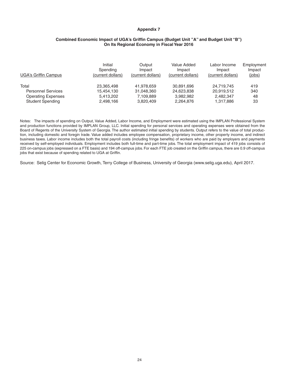#### **Combined Economic Impact of UGA's Griffin Campus (Budget Unit "A" and Budget Unit "B") On Its Regional Economy in Fiscal Year 2016**

| <b>UGA's Griffin Campus</b> | Initial<br>Spending<br>(current dollars) | Output<br>Impact<br>(current dollars) | Value Added<br>Impact<br>(current dollars) | Labor Income<br>Impact<br>(current dollars) | Employment<br>Impact<br>(jobs) |
|-----------------------------|------------------------------------------|---------------------------------------|--------------------------------------------|---------------------------------------------|--------------------------------|
| Total                       | 23.365.498                               | 41.978.659                            | 30.891.696                                 | 24.719.745                                  | 419                            |
| <b>Personnel Services</b>   | 15,454,130                               | 31.048.360                            | 24,623,838                                 | 20,919,512                                  | 340                            |
| <b>Operating Expenses</b>   | 5.413.202                                | 7,109,889                             | 3,982,982                                  | 2,482,347                                   | 48                             |
| <b>Student Spending</b>     | 2,498,166                                | 3,820,409                             | 2,264,876                                  | 1,317,886                                   | 33                             |

Notes: The impacts of spending on Output, Value Added, Labor Income, and Employment were estimated using the IMPLAN Professional System and production functions provided by IMPLAN Group, LLC. Initial spending for personal services and operating expenses were obtained from the Board of Regents of the University System of Georgia. The author estimated initial spending by students. Output refers to the value of total production, including domestic and foregin trade. Value added includes employee compensation, proprietary income, other property income, and indirect business taxes. Labor income includes both the total payroll costs (including fringe benefits) of workers who are paid by employers and payments received by self-employed individuals. Employment includes both full-time and part-time jobs. The total employment impact of 419 jobs consists of 225 on-campus jobs (expressed on a FTE basis) and 194 off-campus jobs. For each FTE job created on the Griffin campus, there are 0.9 off-campus jobs that exist because of spending related to UGA at Griffin.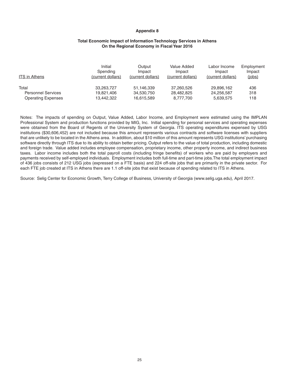#### **Total Economic Impact of Information Technology Services in Athens On the Regional Economy in Fiscal Year 2016**

| <b>ITS in Athens</b>      | Initial           | Output            | Value Added       | Labor Income      | Employment |
|---------------------------|-------------------|-------------------|-------------------|-------------------|------------|
|                           | Spending          | Impact            | Impact            | Impact            | Impact     |
|                           | (current dollars) | (current dollars) | (current dollars) | (current dollars) | (jobs)     |
| Total                     | 33,263,727        | 51,146,339        | 37.260.526        | 29,896,162        | 436        |
| <b>Personnel Services</b> | 19.821.406        | 34,530,750        | 28,482,825        | 24,256,587        | 318        |
| <b>Operating Expenses</b> | 13,442,322        | 16,615,589        | 8,777,700         | 5,639,575         | 118        |

Notes: The impacts of spending on Output, Value Added, Labor Income, and Employment were estimated using the IMPLAN Professional System and production functions provided by MIG, Inc. Initial spending for personal services and operating expenses were obtained from the Board of Regents of the University System of Georgia. ITS operating expenditures expensed by USG institutions (\$30,606,452) are not included because this amount represents various contracts and software licenses with suppliers that are unlikely to be located in the Athens area. In addition, about \$10 million of this amount represents USG institutions' purchasing software directly through ITS due to its ability to obtain better pricing. Output refers to the value of total production, including domestic and foreign trade. Value added includes employee compensation, proprietary income, other property income, and indirect business taxes. Labor income includes both the total payroll costs (including fringe benefits) of workers who are paid by employers and payments received by self-employed individuals. Employment includes both full-time and part-time jobs.The total employment impact of 436 jobs consists of 212 USG jobs (expressed on a FTE basis) and 224 off-site jobs that are primarily in the private sector. For each FTE job created at ITS in Athens there are 1.1 off-site jobs that exist because of spending related to ITS in Athens.